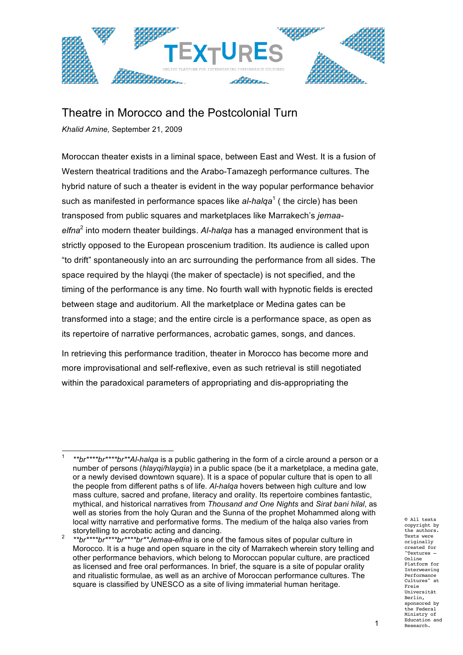

## Theatre in Morocco and the Postcolonial Turn

*Khalid Amine,* September 21, 2009

Moroccan theater exists in a liminal space, between East and West. It is a fusion of Western theatrical traditions and the Arabo-Tamazegh performance cultures. The hybrid nature of such a theater is evident in the way popular performance behavior such as manifested in performance spaces like al-halqa<sup>1</sup> (the circle) has been transposed from public squares and marketplaces like Marrakech's *jemaaelfna*<sup>2</sup> into modern theater buildings. *Al-halqa* has a managed environment that is strictly opposed to the European proscenium tradition. Its audience is called upon "to drift" spontaneously into an arc surrounding the performance from all sides. The space required by the hlayqi (the maker of spectacle) is not specified, and the timing of the performance is any time. No fourth wall with hypnotic fields is erected between stage and auditorium. All the marketplace or Medina gates can be transformed into a stage; and the entire circle is a performance space, as open as its repertoire of narrative performances, acrobatic games, songs, and dances.

In retrieving this performance tradition, theater in Morocco has become more and more improvisational and self-reflexive, even as such retrieval is still negotiated within the paradoxical parameters of appropriating and dis-appropriating the

<sup>!!!!!!!!!!!!!!!!!!!!!!!!!!!!!!!!!!!!!!!!!!!!!!!!!!!!!!!</sup> <sup>1</sup> *\*\*br\*\*\*\*br\*\*\*\*br\*\*Al-halqa* is a public gathering in the form of a circle around a person or a number of persons (*hlayqi/hlayqia*) in a public space (be it a marketplace, a medina gate, or a newly devised downtown square). It is a space of popular culture that is open to all the people from different paths s of life. *Al-halqa* hovers between high culture and low mass culture, sacred and profane, literacy and orality. Its repertoire combines fantastic, mythical, and historical narratives from *Thousand and One Nights* and *Sirat bani hilal*, as well as stories from the holy Quran and the Sunna of the prophet Mohammed along with local witty narrative and performative forms. The medium of the halqa also varies from

storytelling to acrobatic acting and dancing.<br>\*\*br\*\*\*\*br\*\*\*\*br\*\*\*\*br\*\**Jemaa-elfna* is one of the famous sites of popular culture in Morocco. It is a huge and open square in the city of Marrakech wherein story telling and other performance behaviors, which belong to Moroccan popular culture, are practiced as licensed and free oral performances. In brief, the square is a site of popular orality and ritualistic formulae, as well as an archive of Moroccan performance cultures. The square is classified by UNESCO as a site of living immaterial human heritage.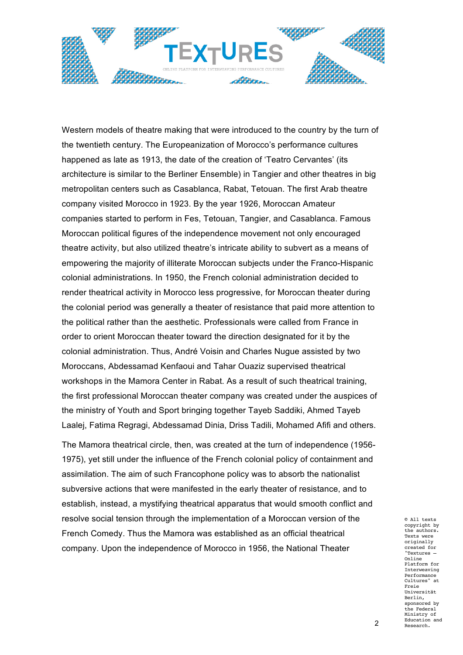

Western models of theatre making that were introduced to the country by the turn of the twentieth century. The Europeanization of Morocco's performance cultures happened as late as 1913, the date of the creation of 'Teatro Cervantes' (its architecture is similar to the Berliner Ensemble) in Tangier and other theatres in big metropolitan centers such as Casablanca, Rabat, Tetouan. The first Arab theatre company visited Morocco in 1923. By the year 1926, Moroccan Amateur companies started to perform in Fes, Tetouan, Tangier, and Casablanca. Famous Moroccan political figures of the independence movement not only encouraged theatre activity, but also utilized theatre's intricate ability to subvert as a means of empowering the majority of illiterate Moroccan subjects under the Franco-Hispanic colonial administrations. In 1950, the French colonial administration decided to render theatrical activity in Morocco less progressive, for Moroccan theater during the colonial period was generally a theater of resistance that paid more attention to the political rather than the aesthetic. Professionals were called from France in order to orient Moroccan theater toward the direction designated for it by the colonial administration. Thus, André Voisin and Charles Nugue assisted by two Moroccans, Abdessamad Kenfaoui and Tahar Ouaziz supervised theatrical workshops in the Mamora Center in Rabat. As a result of such theatrical training, the first professional Moroccan theater company was created under the auspices of the ministry of Youth and Sport bringing together Tayeb Saddiki, Ahmed Tayeb Laalej, Fatima Regragi, Abdessamad Dinia, Driss Tadili, Mohamed Afifi and others.

The Mamora theatrical circle, then, was created at the turn of independence (1956- 1975), yet still under the influence of the French colonial policy of containment and assimilation. The aim of such Francophone policy was to absorb the nationalist subversive actions that were manifested in the early theater of resistance, and to establish, instead, a mystifying theatrical apparatus that would smooth conflict and resolve social tension through the implementation of a Moroccan version of the French Comedy. Thus the Mamora was established as an official theatrical company. Upon the independence of Morocco in 1956, the National Theater

© All texts copyright by the authors. Texts were originally created for "Textures – Online Platform for Interweaving Performance Cultures" at Freie Universität Berlin, sponsored by the Federal Ministry of Education and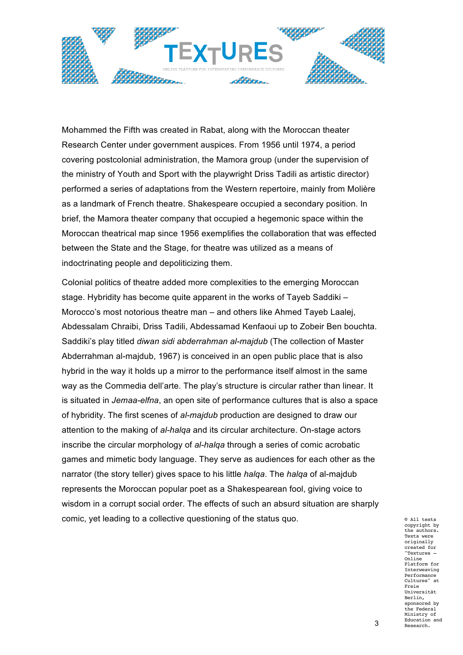

Mohammed the Fifth was created in Rabat, along with the Moroccan theater Research Center under government auspices. From 1956 until 1974, a period covering postcolonial administration, the Mamora group (under the supervision of the ministry of Youth and Sport with the playwright Driss Tadili as artistic director) performed a series of adaptations from the Western repertoire, mainly from Molière as a landmark of French theatre. Shakespeare occupied a secondary position. In brief, the Mamora theater company that occupied a hegemonic space within the Moroccan theatrical map since 1956 exemplifies the collaboration that was effected between the State and the Stage, for theatre was utilized as a means of indoctrinating people and depoliticizing them.

Colonial politics of theatre added more complexities to the emerging Moroccan stage. Hybridity has become quite apparent in the works of Tayeb Saddiki – Morocco's most notorious theatre man – and others like Ahmed Tayeb Laalej, Abdessalam Chraibi, Driss Tadili, Abdessamad Kenfaoui up to Zobeir Ben bouchta. Saddiki's play titled *diwan sidi abderrahman al-majdub* (The collection of Master Abderrahman al-majdub, 1967) is conceived in an open public place that is also hybrid in the way it holds up a mirror to the performance itself almost in the same way as the Commedia dell'arte. The play's structure is circular rather than linear. It is situated in *Jemaa-elfna*, an open site of performance cultures that is also a space of hybridity. The first scenes of *al-majdub* production are designed to draw our attention to the making of *al-halqa* and its circular architecture. On-stage actors inscribe the circular morphology of *al-halqa* through a series of comic acrobatic games and mimetic body language. They serve as audiences for each other as the narrator (the story teller) gives space to his little *halqa*. The *halqa* of al-majdub represents the Moroccan popular poet as a Shakespearean fool, giving voice to wisdom in a corrupt social order. The effects of such an absurd situation are sharply comic, yet leading to a collective questioning of the status quo.

© All texts copyright by the authors. Texts were originally created for "Textures – Online Platform for Interweaving Performance Cultures" at Freie Universität Berlin, sponsored by the Federal Ministry of Education and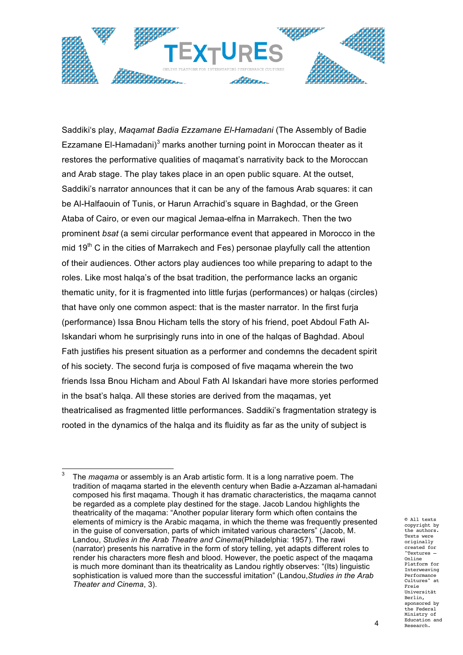

Saddiki's play, *Maqamat Badia Ezzamane El-Hamadani* (The Assembly of Badie Ezzamane El-Hamadani) $3$  marks another turning point in Moroccan theater as it restores the performative qualities of maqamat's narrativity back to the Moroccan and Arab stage. The play takes place in an open public square. At the outset, Saddiki's narrator announces that it can be any of the famous Arab squares: it can be Al-Halfaouin of Tunis, or Harun Arrachid's square in Baghdad, or the Green Ataba of Cairo, or even our magical Jemaa-elfna in Marrakech. Then the two prominent *bsat* (a semi circular performance event that appeared in Morocco in the mid 19<sup>th</sup> C in the cities of Marrakech and Fes) personae playfully call the attention of their audiences. Other actors play audiences too while preparing to adapt to the roles. Like most halqa's of the bsat tradition, the performance lacks an organic thematic unity, for it is fragmented into little furjas (performances) or halqas (circles) that have only one common aspect: that is the master narrator. In the first furja (performance) Issa Bnou Hicham tells the story of his friend, poet Abdoul Fath Al-Iskandari whom he surprisingly runs into in one of the halqas of Baghdad. Aboul Fath justifies his present situation as a performer and condemns the decadent spirit of his society. The second furja is composed of five maqama wherein the two friends Issa Bnou Hicham and Aboul Fath Al Iskandari have more stories performed in the bsat's halqa. All these stories are derived from the maqamas, yet theatricalised as fragmented little performances. Saddiki's fragmentation strategy is rooted in the dynamics of the halqa and its fluidity as far as the unity of subject is

© All texts copyright by the authors. Texts were originally created for "Textures – Online Platform for Interweaving Performance Cultures" at Freie Universität Berlin, sponsored by the Federal Ministry of Education and

<sup>!!!!!!!!!!!!!!!!!!!!!!!!!!!!!!!!!!!!!!!!!!!!!!!!!!!!!!!</sup> <sup>3</sup> The *maqama* or assembly is an Arab artistic form. It is a long narrative poem. The tradition of maqama started in the eleventh century when Badie a-Azzaman al-hamadani composed his first maqama. Though it has dramatic characteristics, the maqama cannot be regarded as a complete play destined for the stage. Jacob Landou highlights the theatricality of the maqama: "Another popular literary form which often contains the elements of mimicry is the Arabic maqama, in which the theme was frequently presented in the guise of conversation, parts of which imitated various characters" (Jacob, M. Landou, *Studies in the Arab Theatre and Cinema*(Philadelphia: 1957). The rawi (narrator) presents his narrative in the form of story telling, yet adapts different roles to render his characters more flesh and blood. However, the poetic aspect of the maqama is much more dominant than its theatricality as Landou rightly observes: "(Its) linguistic sophistication is valued more than the successful imitation" (Landou,*Studies in the Arab Theater and Cinema*, 3).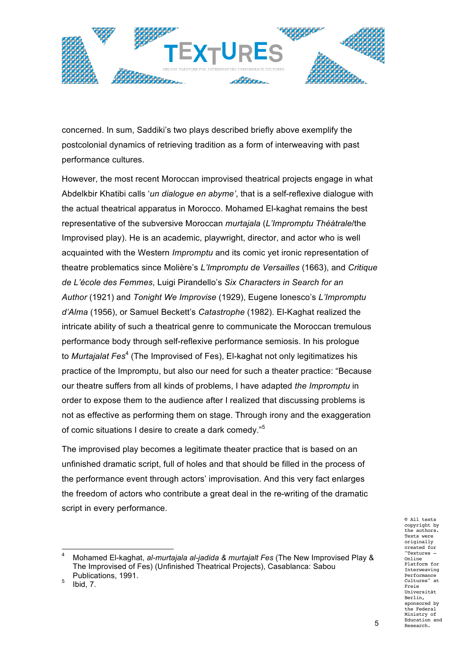

concerned. In sum, Saddiki's two plays described briefly above exemplify the postcolonial dynamics of retrieving tradition as a form of interweaving with past performance cultures.

However, the most recent Moroccan improvised theatrical projects engage in what Abdelkbir Khatibi calls '*un dialogue en abyme'*, that is a self-reflexive dialogue with the actual theatrical apparatus in Morocco. Mohamed El-kaghat remains the best representative of the subversive Moroccan *murtajala* (*L'Impromptu Théàtrale*/the Improvised play). He is an academic, playwright, director, and actor who is well acquainted with the Western *Impromptu* and its comic yet ironic representation of theatre problematics since Molière's *L'Impromptu de Versailles* (1663), and *Critique de L'école des Femmes*, Luigi Pirandello's *Six Characters in Search for an Author* (1921) and *Tonight We Improvise* (1929), Eugene Ionesco's *L'Impromptu d'Alma* (1956), or Samuel Beckett's *Catastrophe* (1982). El-Kaghat realized the intricate ability of such a theatrical genre to communicate the Moroccan tremulous performance body through self-reflexive performance semiosis. In his prologue to *Murtajalat Fes<sup>4</sup>* (The Improvised of Fes), El-kaghat not only legitimatizes his practice of the Impromptu, but also our need for such a theater practice: "Because our theatre suffers from all kinds of problems, I have adapted *the Impromptu* in order to expose them to the audience after I realized that discussing problems is not as effective as performing them on stage. Through irony and the exaggeration of comic situations I desire to create a dark comedy."<sup>5</sup>

The improvised play becomes a legitimate theater practice that is based on an unfinished dramatic script, full of holes and that should be filled in the process of the performance event through actors' improvisation. And this very fact enlarges the freedom of actors who contribute a great deal in the re-writing of the dramatic script in every performance.

© All texts copyright by the authors. Texts were originally created for "Textures – Online Platform for Interweaving Performance Cultures" at Freie Universität Berlin, sponsored by the Federal Ministry of Education and

<sup>!!!!!!!!!!!!!!!!!!!!!!!!!!!!!!!!!!!!!!!!!!!!!!!!!!!!!!!</sup> <sup>4</sup> Mohamed El-kaghat, *al-murtajala al-jadida & murtajalt Fes* (The New Improvised Play & The Improvised of Fes) (Unfinished Theatrical Projects), Casablanca: Sabou Publications, 1991.

 $5$  Ibid,  $7.$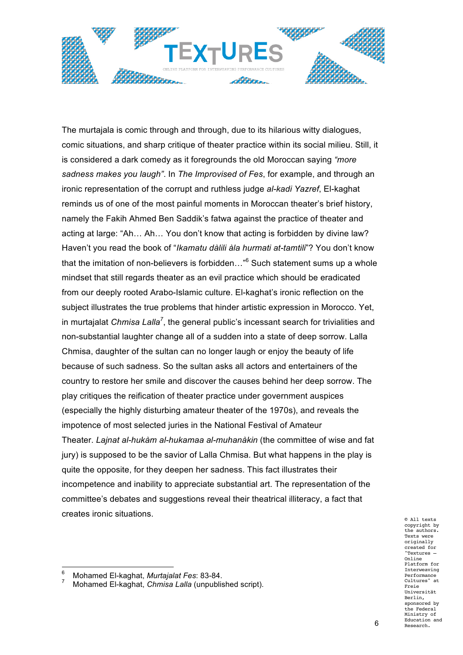

The murtajala is comic through and through, due to its hilarious witty dialogues, comic situations, and sharp critique of theater practice within its social milieu. Still, it is considered a dark comedy as it foregrounds the old Moroccan saying *"more sadness makes you laugh"*. In *The Improvised of Fes*, for example, and through an ironic representation of the corrupt and ruthless judge *al-kadi Yazref*, El-kaghat reminds us of one of the most painful moments in Moroccan theater's brief history, namely the Fakih Ahmed Ben Saddik's fatwa against the practice of theater and acting at large: "Ah… Ah… You don't know that acting is forbidden by divine law? Haven't you read the book of "*Ikamatu dàlili àla hurmati at-tamtili*"? You don't know that the imitation of non-believers is forbidden..."<sup>6</sup> Such statement sums up a whole mindset that still regards theater as an evil practice which should be eradicated from our deeply rooted Arabo-Islamic culture. El-kaghat's ironic reflection on the subject illustrates the true problems that hinder artistic expression in Morocco. Yet, in murtajalat *Chmisa Lalla<sup>7</sup>* , the general public's incessant search for trivialities and non-substantial laughter change all of a sudden into a state of deep sorrow. Lalla Chmisa, daughter of the sultan can no longer laugh or enjoy the beauty of life because of such sadness. So the sultan asks all actors and entertainers of the country to restore her smile and discover the causes behind her deep sorrow. The play critiques the reification of theater practice under government auspices (especially the highly disturbing amateur theater of the 1970s), and reveals the impotence of most selected juries in the National Festival of Amateur Theater. *Lajnat al-hukàm al-hukamaa al-muhanàkin* (the committee of wise and fat jury) is supposed to be the savior of Lalla Chmisa. But what happens in the play is quite the opposite, for they deepen her sadness. This fact illustrates their incompetence and inability to appreciate substantial art. The representation of the committee's debates and suggestions reveal their theatrical illiteracy, a fact that creates ironic situations.

© All texts copyright by the authors. Texts were originally created for "Textures – Online Platform for Interweaving Performance Cultures" at Freie Universität Berlin, sponsored by the Federal Ministry of Education and

<sup>!!!!!!!!!!!!!!!!!!!!!!!!!!!!!!!!!!!!!!!!!!!!!!!!!!!!!!!</sup> <sup>6</sup> Mohamed El-kaghat, *Murtajalat Fes*: 83-84.

<sup>7</sup> Mohamed El-kaghat, *Chmisa Lalla* (unpublished script).